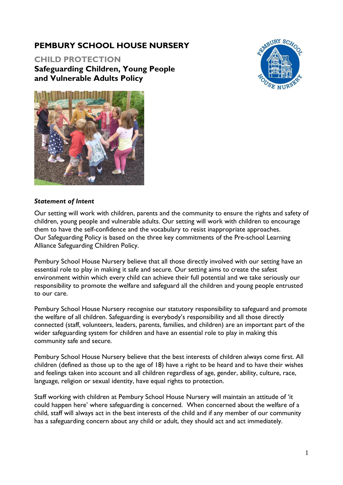# **PEMBURY SCHOOL HOUSE NURSERY**

**CHILD PROTECTION Safeguarding Children, Young People and Vulnerable Adults Policy**





#### *Statement of Intent*

Our setting will work with children, parents and the community to ensure the rights and safety of children, young people and vulnerable adults. Our setting will work with children to encourage them to have the self-confidence and the vocabulary to resist inappropriate approaches. Our Safeguarding Policy is based on the three key commitments of the Pre-school Learning Alliance Safeguarding Children Policy.

Pembury School House Nursery believe that all those directly involved with our setting have an essential role to play in making it safe and secure. Our setting aims to create the safest environment within which every child can achieve their full potential and we take seriously our responsibility to promote the welfare and safeguard all the children and young people entrusted to our care.

Pembury School House Nursery recognise our statutory responsibility to safeguard and promote the welfare of all children. Safeguarding is everybody's responsibility and all those directly connected (staff, volunteers, leaders, parents, families, and children) are an important part of the wider safeguarding system for children and have an essential role to play in making this community safe and secure.

Pembury School House Nursery believe that the best interests of children always come first. All children (defined as those up to the age of 18) have a right to be heard and to have their wishes and feelings taken into account and all children regardless of age, gender, ability, culture, race, language, religion or sexual identity, have equal rights to protection.

Staff working with children at Pembury School House Nursery will maintain an attitude of 'it could happen here' where safeguarding is concerned. When concerned about the welfare of a child, staff will always act in the best interests of the child and if any member of our community has a safeguarding concern about any child or adult, they should act and act immediately.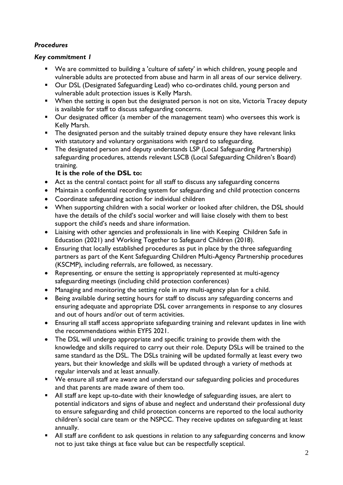# *Procedures*

## *Key commitment 1*

- We are committed to building a 'culture of safety' in which children, young people and vulnerable adults are protected from abuse and harm in all areas of our service delivery.
- Our DSL (Designated Safeguarding Lead) who co-ordinates child, young person and vulnerable adult protection issues is Kelly Marsh.
- When the setting is open but the designated person is not on site, Victoria Tracey deputy is available for staff to discuss safeguarding concerns.
- Our designated officer (a member of the management team) who oversees this work is Kelly Marsh.
- **•** The designated person and the suitably trained deputy ensure they have relevant links with statutory and voluntary organisations with regard to safeguarding.
- The designated person and deputy understands LSP (Local Safeguarding Partnership) safeguarding procedures, attends relevant LSCB (Local Safeguarding Children's Board) training.

# **It is the role of the DSL to:**

- Act as the central contact point for all staff to discuss any safeguarding concerns
- Maintain a confidential recording system for safeguarding and child protection concerns
- Coordinate safeguarding action for individual children
- When supporting children with a social worker or looked after children, the DSL should have the details of the child's social worker and will liaise closely with them to best support the child's needs and share information.
- Liaising with other agencies and professionals in line with Keeping Children Safe in Education (2021) and Working Together to Safeguard Children (2018).
- Ensuring that locally established procedures as put in place by the three safeguarding partners as part of the Kent Safeguarding Children Multi-Agency Partnership procedures (KSCMP), including referrals, are followed, as necessary.
- Representing, or ensure the setting is appropriately represented at multi-agency safeguarding meetings (including child protection conferences)
- Managing and monitoring the setting role in any multi-agency plan for a child.
- Being available during setting hours for staff to discuss any safeguarding concerns and ensuring adequate and appropriate DSL cover arrangements in response to any closures and out of hours and/or out of term activities.
- Ensuring all staff access appropriate safeguarding training and relevant updates in line with the recommendations within EYFS 2021.
- The DSL will undergo appropriate and specific training to provide them with the knowledge and skills required to carry out their role. Deputy DSLs will be trained to the same standard as the DSL. The DSLs training will be updated formally at least every two years, but their knowledge and skills will be updated through a variety of methods at regular intervals and at least annually.
- We ensure all staff are aware and understand our safeguarding policies and procedures and that parents are made aware of them too.
- All staff are kept up-to-date with their knowledge of safeguarding issues, are alert to potential indicators and signs of abuse and neglect and understand their professional duty to ensure safeguarding and child protection concerns are reported to the local authority children's social care team or the NSPCC. They receive updates on safeguarding at least annually.
- All staff are confident to ask questions in relation to any safeguarding concerns and know not to just take things at face value but can be respectfully sceptical.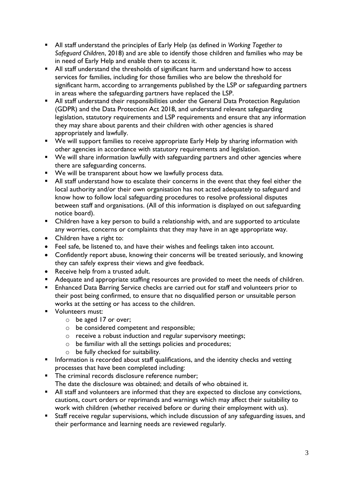- All staff understand the principles of Early Help (as defined in *Working Together to Safeguard Children*, 2018) and are able to identify those children and families who may be in need of Early Help and enable them to access it.
- All staff understand the thresholds of significant harm and understand how to access services for families, including for those families who are below the threshold for significant harm, according to arrangements published by the LSP or safeguarding partners in areas where the safeguarding partners have replaced the LSP.
- All staff understand their responsibilities under the General Data Protection Regulation (GDPR) and the Data Protection Act 2018, and understand relevant safeguarding legislation, statutory requirements and LSP requirements and ensure that any information they may share about parents and their children with other agencies is shared appropriately and lawfully.
- We will support families to receive appropriate Early Help by sharing information with other agencies in accordance with statutory requirements and legislation.
- We will share information lawfully with safeguarding partners and other agencies where there are safeguarding concerns.
- We will be transparent about how we lawfully process data.
- All staff understand how to escalate their concerns in the event that they feel either the local authority and/or their own organisation has not acted adequately to safeguard and know how to follow local safeguarding procedures to resolve professional disputes between staff and organisations. (All of this information is displayed on out safeguarding notice board).
- Children have a key person to build a relationship with, and are supported to articulate any worries, concerns or complaints that they may have in an age appropriate way.
- Children have a right to:
- Feel safe, be listened to, and have their wishes and feelings taken into account.
- Confidently report abuse, knowing their concerns will be treated seriously, and knowing they can safely express their views and give feedback.
- Receive help from a trusted adult.
- Adequate and appropriate staffing resources are provided to meet the needs of children.
- Enhanced Data Barring Service checks are carried out for staff and volunteers prior to their post being confirmed, to ensure that no disqualified person or unsuitable person works at the setting or has access to the children.
- Volunteers must:
	- o be aged 17 or over;
	- o be considered competent and responsible;
	- o receive a robust induction and regular supervisory meetings;
	- o be familiar with all the settings policies and procedures;
	- o be fully checked for suitability.
- **E** Information is recorded about staff qualifications, and the identity checks and vetting processes that have been completed including:
- The criminal records disclosure reference number; The date the disclosure was obtained; and details of who obtained it.
- All staff and volunteers are informed that they are expected to disclose any convictions, cautions, court orders or reprimands and warnings which may affect their suitability to work with children (whether received before or during their employment with us).
- **EXECT:** Staff receive regular supervisions, which include discussion of any safeguarding issues, and their performance and learning needs are reviewed regularly.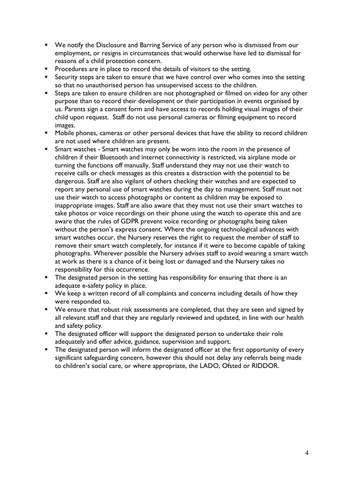- We notify the Disclosure and Barring Service of any person who is dismissed from our employment, or resigns in circumstances that would otherwise have led to dismissal for reasons of a child protection concern.
- **•** Procedures are in place to record the details of visitors to the setting.
- Security steps are taken to ensure that we have control over who comes into the setting so that no unauthorised person has unsupervised access to the children.
- Steps are taken to ensure children are not photographed or filmed on video for any other purpose than to record their development or their participation in events organised by us. Parents sign a consent form and have access to records holding visual images of their child upon request. Staff do not use personal cameras or filming equipment to record images.
- Mobile phones, cameras or other personal devices that have the ability to record children are not used where children are present.
- **EXECT** Smart watches Smart watches may only be worn into the room in the presence of children if their Bluetooth and internet connectivity is restricted, via airplane mode or turning the functions off manually. Staff understand they may not use their watch to receive calls or check messages as this creates a distraction with the potential to be dangerous. Staff are also vigilant of others checking their watches and are expected to report any personal use of smart watches during the day to management. Staff must not use their watch to access photographs or content as children may be exposed to inappropriate images. Staff are also aware that they must not use their smart watches to take photos or voice recordings on their phone using the watch to operate this and are aware that the rules of GDPR prevent voice recording or photographs being taken without the person's express consent. Where the ongoing technological advances with smart watches occur, the Nursery reserves the right to request the member of staff to remove their smart watch completely, for instance if it were to become capable of taking photographs. Wherever possible the Nursery advises staff to avoid wearing a smart watch at work as there is a chance of it being lost or damaged and the Nursery takes no responsibility for this occurrence.
- **•** The designated person in the setting has responsibility for ensuring that there is an adequate e-safety policy in place.
- We keep a written record of all complaints and concerns including details of how they were responded to.
- We ensure that robust risk assessments are completed, that they are seen and signed by all relevant staff and that they are regularly reviewed and updated, in line with our health and safety policy.
- **EXP** The designated officer will support the designated person to undertake their role adequately and offer advice, guidance, supervision and support.
- The designated person will inform the designated officer at the first opportunity of every significant safeguarding concern, however this should not delay any referrals being made to children's social care, or where appropriate, the LADO, Ofsted or RIDDOR.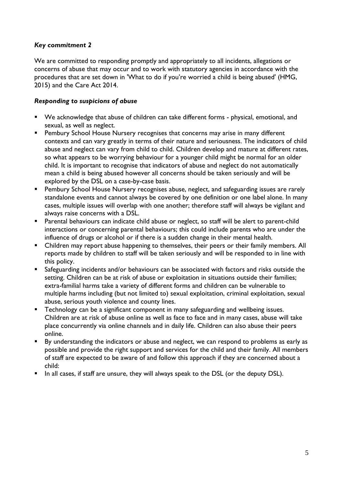# *Key commitment 2*

We are committed to responding promptly and appropriately to all incidents, allegations or concerns of abuse that may occur and to work with statutory agencies in accordance with the procedures that are set down in 'What to do if you're worried a child is being abused' (HMG, 2015) and the Care Act 2014.

## *Responding to suspicions of abuse*

- We acknowledge that abuse of children can take different forms physical, emotional, and sexual, as well as neglect.
- Pembury School House Nursery recognises that concerns may arise in many different contexts and can vary greatly in terms of their nature and seriousness. The indicators of child abuse and neglect can vary from child to child. Children develop and mature at different rates, so what appears to be worrying behaviour for a younger child might be normal for an older child. It is important to recognise that indicators of abuse and neglect do not automatically mean a child is being abused however all concerns should be taken seriously and will be explored by the DSL on a case-by-case basis.
- **E** Pembury School House Nursery recognises abuse, neglect, and safeguarding issues are rarely standalone events and cannot always be covered by one definition or one label alone. In many cases, multiple issues will overlap with one another; therefore staff will always be vigilant and always raise concerns with a DSL.
- Parental behaviours can indicate child abuse or neglect, so staff will be alert to parent-child interactions or concerning parental behaviours; this could include parents who are under the influence of drugs or alcohol or if there is a sudden change in their mental health.
- Children may report abuse happening to themselves, their peers or their family members. All reports made by children to staff will be taken seriously and will be responded to in line with this policy.
- Safeguarding incidents and/or behaviours can be associated with factors and risks outside the setting. Children can be at risk of abuse or exploitation in situations outside their families; extra-familial harms take a variety of different forms and children can be vulnerable to multiple harms including (but not limited to) sexual exploitation, criminal exploitation, sexual abuse, serious youth violence and county lines.
- **EXECT** Technology can be a significant component in many safeguarding and wellbeing issues. Children are at risk of abuse online as well as face to face and in many cases, abuse will take place concurrently via online channels and in daily life. Children can also abuse their peers online.
- By understanding the indicators or abuse and neglect, we can respond to problems as early as possible and provide the right support and services for the child and their family. All members of staff are expected to be aware of and follow this approach if they are concerned about a child:
- In all cases, if staff are unsure, they will always speak to the DSL (or the deputy DSL).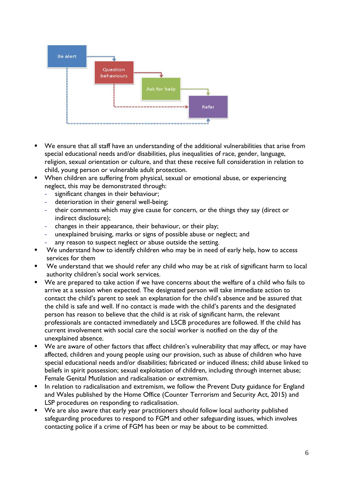

- We ensure that all staff have an understanding of the additional vulnerabilities that arise from special educational needs and/or disabilities, plus inequalities of race, gender, language, religion, sexual orientation or culture, and that these receive full consideration in relation to child, young person or vulnerable adult protection.
- When children are suffering from physical, sexual or emotional abuse, or experiencing neglect, this may be demonstrated through:
	- **-** significant changes in their behaviour;
	- **-** deterioration in their general well-being;
	- **-** their comments which may give cause for concern, or the things they say (direct or indirect disclosure);
	- **-** changes in their appearance, their behaviour, or their play;
	- **-** unexplained bruising, marks or signs of possible abuse or neglect; and
	- **-** any reason to suspect neglect or abuse outside the setting.
- We understand how to identify children who may be in need of early help, how to access services for them
- We understand that we should refer any child who may be at risk of significant harm to local authority children's social work services.
- We are prepared to take action if we have concerns about the welfare of a child who fails to arrive at a session when expected. The designated person will take immediate action to contact the child's parent to seek an explanation for the child's absence and be assured that the child is safe and well. If no contact is made with the child's parents and the designated person has reason to believe that the child is at risk of significant harm, the relevant professionals are contacted immediately and LSCB procedures are followed. If the child has current involvement with social care the social worker is notified on the day of the unexplained absence.
- We are aware of other factors that affect children's vulnerability that may affect, or may have affected, children and young people using our provision, such as abuse of children who have special educational needs and/or disabilities; fabricated or induced illness; child abuse linked to beliefs in spirit possession; sexual exploitation of children, including through internet abuse; Female Genital Mutilation and radicalisation or extremism.
- **•** In relation to radicalisation and extremism, we follow the Prevent Duty guidance for England and Wales published by the Home Office (Counter Terrorism and Security Act, 2015) and LSP procedures on responding to radicalisation.
- We are also aware that early year practitioners should follow local authority published safeguarding procedures to respond to FGM and other safeguarding issues, which involves contacting police if a crime of FGM has been or may be about to be committed.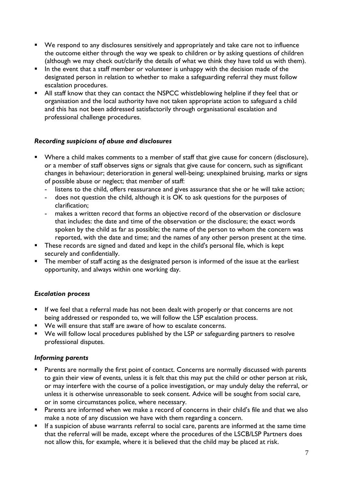- We respond to any disclosures sensitively and appropriately and take care not to influence the outcome either through the way we speak to children or by asking questions of children (although we may check out/clarify the details of what we think they have told us with them).
- In the event that a staff member or volunteer is unhappy with the decision made of the designated person in relation to whether to make a safeguarding referral they must follow escalation procedures.
- All staff know that they can contact the NSPCC whistleblowing helpline if they feel that or organisation and the local authority have not taken appropriate action to safeguard a child and this has not been addressed satisfactorily through organisational escalation and professional challenge procedures.

# *Recording suspicions of abuse and disclosures*

- Where a child makes comments to a member of staff that give cause for concern (disclosure), or a member of staff observes signs or signals that give cause for concern, such as significant changes in behaviour; deterioration in general well-being; unexplained bruising, marks or signs of possible abuse or neglect; that member of staff:
	- **-** listens to the child, offers reassurance and gives assurance that she or he will take action;
	- **-** does not question the child, although it is OK to ask questions for the purposes of clarification;
	- **-** makes a written record that forms an objective record of the observation or disclosure that includes: the date and time of the observation or the disclosure; the exact words spoken by the child as far as possible; the name of the person to whom the concern was reported, with the date and time; and the names of any other person present at the time.
- These records are signed and dated and kept in the child's personal file, which is kept securely and confidentially.
- **The member of staff acting as the designated person is informed of the issue at the earliest** opportunity, and always within one working day.

### *Escalation process*

- **E** If we feel that a referral made has not been dealt with properly or that concerns are not being addressed or responded to, we will follow the LSP escalation process.
- We will ensure that staff are aware of how to escalate concerns.
- We will follow local procedures published by the LSP or safeguarding partners to resolve professional disputes.

### *Informing parents*

- **EXECT** Parents are normally the first point of contact. Concerns are normally discussed with parents to gain their view of events, unless it is felt that this may put the child or other person at risk, or may interfere with the course of a police investigation, or may unduly delay the referral, or unless it is otherwise unreasonable to seek consent. Advice will be sought from social care, or in some circumstances police, where necessary.
- Parents are informed when we make a record of concerns in their child's file and that we also make a note of any discussion we have with them regarding a concern.
- **EXTE:** If a suspicion of abuse warrants referral to social care, parents are informed at the same time that the referral will be made, except where the procedures of the LSCB/LSP Partners does not allow this, for example, where it is believed that the child may be placed at risk.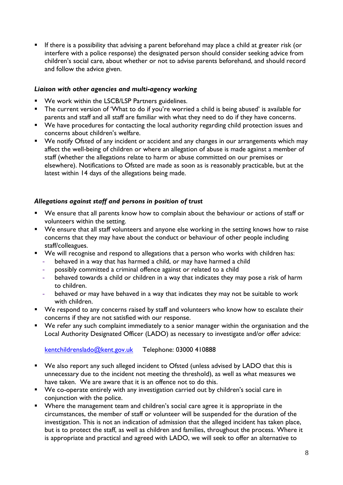**E** If there is a possibility that advising a parent beforehand may place a child at greater risk (or interfere with a police response) the designated person should consider seeking advice from children's social care, about whether or not to advise parents beforehand, and should record and follow the advice given.

### *Liaison with other agencies and multi-agency working*

- We work within the LSCB/LSP Partners guidelines.
- The current version of 'What to do if you're worried a child is being abused' is available for parents and staff and all staff are familiar with what they need to do if they have concerns.
- We have procedures for contacting the local authority regarding child protection issues and concerns about children's welfare.
- We notify Ofsted of any incident or accident and any changes in our arrangements which may affect the well-being of children or where an allegation of abuse is made against a member of staff (whether the allegations relate to harm or abuse committed on our premises or elsewhere). Notifications to Ofsted are made as soon as is reasonably practicable, but at the latest within 14 days of the allegations being made.

### *Allegations against staff and persons in position of trust*

- We ensure that all parents know how to complain about the behaviour or actions of staff or volunteers within the setting.
- We ensure that all staff volunteers and anyone else working in the setting knows how to raise concerns that they may have about the conduct or behaviour of other people including staff/colleagues.
- We will recognise and respond to allegations that a person who works with children has:
	- **-** behaved in a way that has harmed a child, or may have harmed a child
	- **-** possibly committed a criminal offence against or related to a child
	- **-** behaved towards a child or children in a way that indicates they may pose a risk of harm to children.
	- **-** behaved or may have behaved in a way that indicates they may not be suitable to work with children.
- We respond to any concerns raised by staff and volunteers who know how to escalate their concerns if they are not satisfied with our response.
- We refer any such complaint immediately to a senior manager within the organisation and the Local Authority Designated Officer (LADO) as necessary to investigate and/or offer advice:

[kentchildrenslado@kent.gov.uk](mailto:kentchildrenslado@kent.gov.uk) Telephone: 03000 410888

- We also report any such alleged incident to Ofsted (unless advised by LADO that this is unnecessary due to the incident not meeting the threshold), as well as what measures we have taken. We are aware that it is an offence not to do this.
- We co-operate entirely with any investigation carried out by children's social care in conjunction with the police.
- Where the management team and children's social care agree it is appropriate in the circumstances, the member of staff or volunteer will be suspended for the duration of the investigation. This is not an indication of admission that the alleged incident has taken place, but is to protect the staff, as well as children and families, throughout the process. Where it is appropriate and practical and agreed with LADO, we will seek to offer an alternative to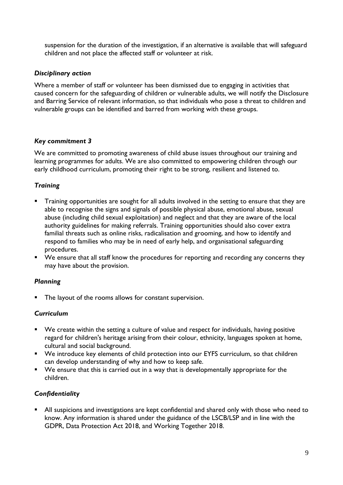suspension for the duration of the investigation, if an alternative is available that will safeguard children and not place the affected staff or volunteer at risk.

# *Disciplinary action*

Where a member of staff or volunteer has been dismissed due to engaging in activities that caused concern for the safeguarding of children or vulnerable adults, we will notify the Disclosure and Barring Service of relevant information, so that individuals who pose a threat to children and vulnerable groups can be identified and barred from working with these groups.

# *Key commitment 3*

We are committed to promoting awareness of child abuse issues throughout our training and learning programmes for adults. We are also committed to empowering children through our early childhood curriculum, promoting their right to be strong, resilient and listened to.

# *Training*

- **•** Training opportunities are sought for all adults involved in the setting to ensure that they are able to recognise the signs and signals of possible physical abuse, emotional abuse, sexual abuse (including child sexual exploitation) and neglect and that they are aware of the local authority guidelines for making referrals. Training opportunities should also cover extra familial threats such as online risks, radicalisation and grooming, and how to identify and respond to families who may be in need of early help, and organisational safeguarding procedures.
- We ensure that all staff know the procedures for reporting and recording any concerns they may have about the provision.

# *Planning*

■ The layout of the rooms allows for constant supervision.

### *Curriculum*

- We create within the setting a culture of value and respect for individuals, having positive regard for children's heritage arising from their colour, ethnicity, languages spoken at home, cultural and social background.
- We introduce key elements of child protection into our EYFS curriculum, so that children can develop understanding of why and how to keep safe.
- We ensure that this is carried out in a way that is developmentally appropriate for the children.

# *Confidentiality*

■ All suspicions and investigations are kept confidential and shared only with those who need to know. Any information is shared under the guidance of the LSCB/LSP and in line with the GDPR, Data Protection Act 2018, and Working Together 2018.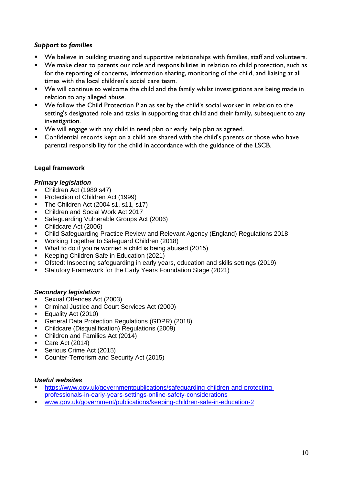# *Support to families*

- We believe in building trusting and supportive relationships with families, staff and volunteers.
- We make clear to parents our role and responsibilities in relation to child protection, such as for the reporting of concerns, information sharing, monitoring of the child, and liaising at all times with the local children's social care team.
- We will continue to welcome the child and the family whilst investigations are being made in relation to any alleged abuse.
- We follow the Child Protection Plan as set by the child's social worker in relation to the setting's designated role and tasks in supporting that child and their family, subsequent to any investigation.
- We will engage with any child in need plan or early help plan as agreed.
- Confidential records kept on a child are shared with the child's parents or those who have parental responsibility for the child in accordance with the guidance of the LSCB.

### **Legal framework**

#### *Primary legislation*

- Children Act (1989 s47)
- Protection of Children Act (1999)
- **The Children Act (2004 s1, s11, s17)**
- Children and Social Work Act 2017
- Safeguarding Vulnerable Groups Act (2006)
- Childcare Act (2006)
- Child Safeguarding Practice Review and Relevant Agency (England) Regulations 2018
- Working Together to Safeguard Children (2018)
- What to do if you're worried a child is being abused (2015)
- Keeping Children Safe in Education (2021)
- Ofsted: Inspecting safeguarding in early years, education and skills settings (2019)
- Statutory Framework for the Early Years Foundation Stage (2021)

#### *Secondary legislation*

- Sexual Offences Act (2003)
- Criminal Justice and Court Services Act (2000)
- Equality Act (2010)
- General Data Protection Regulations (GDPR) (2018)
- Childcare (Disqualification) Regulations (2009)
- Children and Families Act (2014)
- Care Act (2014)
- **•** Serious Crime Act (2015)
- Counter-Terrorism and Security Act (2015)

#### *Useful websites*

- [https://www.gov.uk/governmentpublications/safeguarding-children-and-protecting](https://www.gov.uk/governmentpublications/safeguarding-children-and-protecting-professionals-in-early-years-settings-online-safety-considerations)[professionals-in-early-years-settings-online-safety-considerations](https://www.gov.uk/governmentpublications/safeguarding-children-and-protecting-professionals-in-early-years-settings-online-safety-considerations)
- [www.gov.uk/government/publications/keeping-children-safe-in-education-2](http://www.gov.uk/government/publications/keeping-children-safe-in-education-2)